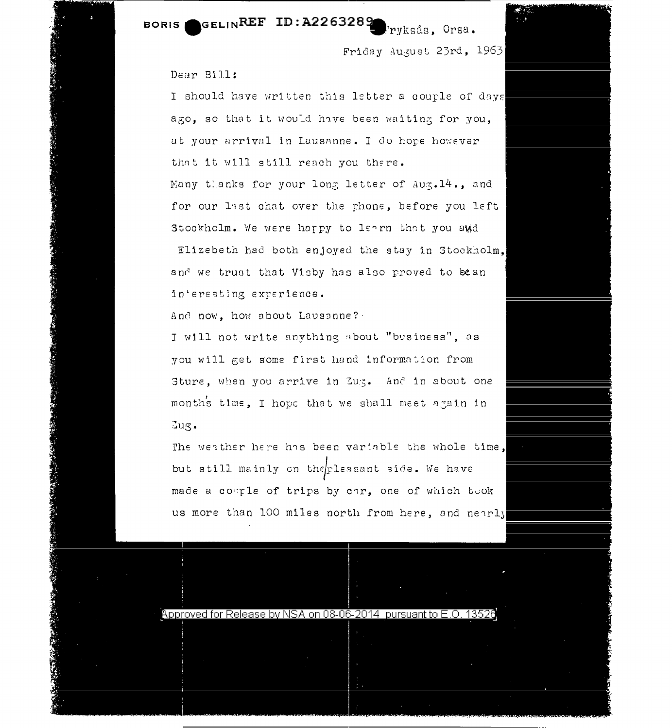GELINREF ID:A2263289 **BORIS** 

Friday August 23rd, 1963

ryksås. Orsa.

## Dear Bill:

I should have written this letter a couple of days ago, so that it would have been waiting for you. at your arrival in Lausanne. I do hope however that it will still reach you there. Many thanks for your long letter of Aug. 14., and for our last chat over the phone, before you left Stockholm. We were happy to learn that you and Elizebeth had both enjoyed the stay in Stockholm.

and we trust that Visby has also proved to bean interesting experience.

And now, how about Lausanne?

I will not write anything about "business", as you will get some first hand information from Sture, when you arrive in Zug. And in about one months time, I hope that we shall meet again in  $Jug.$ 

The weather here has been variable the whole time, but still mainly on the pleasant side. We have made a couple of trips by car, one of which took us more than 100 miles north from here, and nearly

Approved for Release by NSA on 08-06-2014 pursuant to E.O. 13526